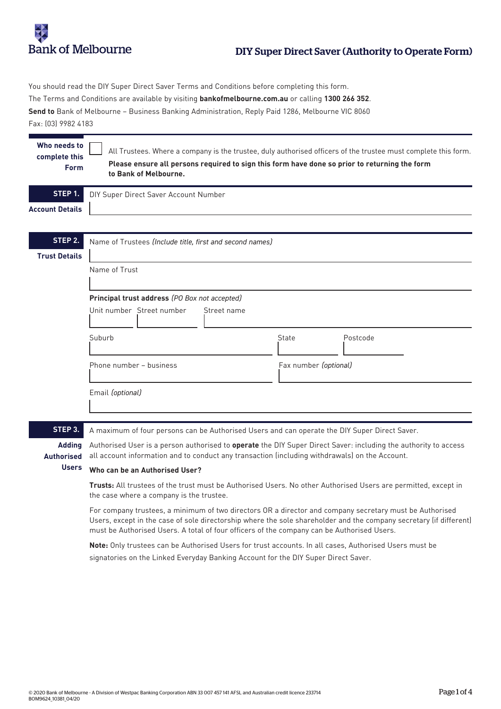

You should read the DIY Super Direct Saver Terms and Conditions before completing this form. The Terms and Conditions are available by visiting **bankofmelbourne.com.au** or calling **1300 266 352**. **Send to** Bank of Melbourne – Business Banking Administration, Reply Paid 1286, Melbourne VIC 8060 Fax: (03) 9982 4183

| Who needs to<br>complete this<br>Form | All Trustees. Where a company is the trustee, duly authorised officers of the trustee must complete this form.<br>Please ensure all persons required to sign this form have done so prior to returning the form<br>to Bank of Melbourne. |                           |                       |              |          |  |  |
|---------------------------------------|------------------------------------------------------------------------------------------------------------------------------------------------------------------------------------------------------------------------------------------|---------------------------|-----------------------|--------------|----------|--|--|
| STEP 1.                               | DIY Super Direct Saver Account Number                                                                                                                                                                                                    |                           |                       |              |          |  |  |
| <b>Account Details</b>                |                                                                                                                                                                                                                                          |                           |                       |              |          |  |  |
|                                       |                                                                                                                                                                                                                                          |                           |                       |              |          |  |  |
| STEP 2.                               | Name of Trustees (Include title, first and second names)                                                                                                                                                                                 |                           |                       |              |          |  |  |
| <b>Trust Details</b>                  |                                                                                                                                                                                                                                          |                           |                       |              |          |  |  |
|                                       | Name of Trust                                                                                                                                                                                                                            |                           |                       |              |          |  |  |
|                                       |                                                                                                                                                                                                                                          |                           |                       |              |          |  |  |
|                                       | Principal trust address (PO Box not accepted)                                                                                                                                                                                            |                           |                       |              |          |  |  |
|                                       |                                                                                                                                                                                                                                          | Unit number Street number | Street name           |              |          |  |  |
|                                       | Suburb                                                                                                                                                                                                                                   |                           |                       | <b>State</b> | Postcode |  |  |
|                                       | Phone number - business                                                                                                                                                                                                                  |                           | Fax number (optional) |              |          |  |  |
|                                       | Email (optional)                                                                                                                                                                                                                         |                           |                       |              |          |  |  |
|                                       |                                                                                                                                                                                                                                          |                           |                       |              |          |  |  |
|                                       |                                                                                                                                                                                                                                          |                           |                       |              |          |  |  |

**STEP 3.**

A maximum of four persons can be Authorised Users and can operate the DIY Super Direct Saver.

Authorised User is a person authorised to **operate** the DIY Super Direct Saver: including the authority to access all account information and to conduct any transaction (including withdrawals) on the Account. **Adding Authorised** 

#### **Who can be an Authorised User? Users**

**Trusts:** All trustees of the trust must be Authorised Users. No other Authorised Users are permitted, except in the case where a company is the trustee.

For company trustees, a minimum of two directors OR a director and company secretary must be Authorised Users, except in the case of sole directorship where the sole shareholder and the company secretary (if different) must be Authorised Users. A total of four officers of the company can be Authorised Users.

**Note:** Only trustees can be Authorised Users for trust accounts. In all cases, Authorised Users must be signatories on the Linked Everyday Banking Account for the DIY Super Direct Saver.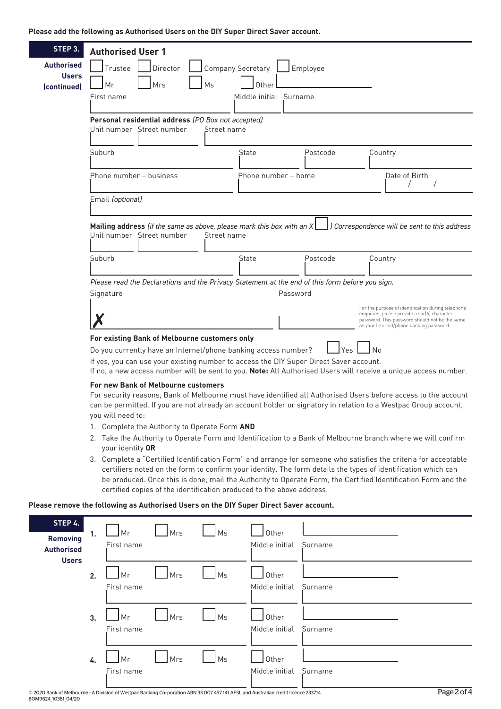### **Please add the following as Authorised Users on the DIY Super Direct Saver account.**

| STEP 3.                                                                                                                      | <b>Authorised User 1</b>                                                                                                                                                                                                          |                          |          |                                                                                                                                             |  |  |  |  |
|------------------------------------------------------------------------------------------------------------------------------|-----------------------------------------------------------------------------------------------------------------------------------------------------------------------------------------------------------------------------------|--------------------------|----------|---------------------------------------------------------------------------------------------------------------------------------------------|--|--|--|--|
| <b>Authorised</b>                                                                                                            | Trustee<br>Director                                                                                                                                                                                                               | <b>Company Secretary</b> | Employee |                                                                                                                                             |  |  |  |  |
| <b>Users</b>                                                                                                                 | Ms<br>Mrs<br>Mr                                                                                                                                                                                                                   | Other                    |          |                                                                                                                                             |  |  |  |  |
| (continued)                                                                                                                  | First name                                                                                                                                                                                                                        | Middle initial Surname   |          |                                                                                                                                             |  |  |  |  |
|                                                                                                                              |                                                                                                                                                                                                                                   |                          |          |                                                                                                                                             |  |  |  |  |
|                                                                                                                              | Personal residential address (PO Box not accepted)                                                                                                                                                                                |                          |          |                                                                                                                                             |  |  |  |  |
|                                                                                                                              | Unit number Street number<br>Street name                                                                                                                                                                                          |                          |          |                                                                                                                                             |  |  |  |  |
|                                                                                                                              | Suburb                                                                                                                                                                                                                            | State                    | Postcode | Country                                                                                                                                     |  |  |  |  |
|                                                                                                                              |                                                                                                                                                                                                                                   |                          |          |                                                                                                                                             |  |  |  |  |
|                                                                                                                              | Phone number – business                                                                                                                                                                                                           | Phone number - home      |          | Date of Birth<br>$\prime$                                                                                                                   |  |  |  |  |
|                                                                                                                              |                                                                                                                                                                                                                                   |                          |          |                                                                                                                                             |  |  |  |  |
|                                                                                                                              | Email (optional)                                                                                                                                                                                                                  |                          |          |                                                                                                                                             |  |  |  |  |
| Mailing address (if the same as above, please mark this box with an $X$ $\Box$ ) Correspondence will be sent to this address |                                                                                                                                                                                                                                   |                          |          |                                                                                                                                             |  |  |  |  |
|                                                                                                                              | Unit number Street number<br>Street name                                                                                                                                                                                          |                          |          |                                                                                                                                             |  |  |  |  |
|                                                                                                                              |                                                                                                                                                                                                                                   |                          |          |                                                                                                                                             |  |  |  |  |
|                                                                                                                              | Suburb                                                                                                                                                                                                                            | State                    | Postcode | Country                                                                                                                                     |  |  |  |  |
|                                                                                                                              | Please read the Declarations and the Privacy Statement at the end of this form before you sign.                                                                                                                                   |                          |          |                                                                                                                                             |  |  |  |  |
| Password<br>Signature                                                                                                        |                                                                                                                                                                                                                                   |                          |          |                                                                                                                                             |  |  |  |  |
|                                                                                                                              |                                                                                                                                                                                                                                   |                          |          | For the purpose of identification during telephone                                                                                          |  |  |  |  |
|                                                                                                                              |                                                                                                                                                                                                                                   |                          |          | enquiries, please provide a six (6) character<br>password. This password should not be the same<br>as your Internet/phone banking password. |  |  |  |  |
|                                                                                                                              | For existing Bank of Melbourne customers only                                                                                                                                                                                     |                          |          |                                                                                                                                             |  |  |  |  |
|                                                                                                                              | Do you currently have an Internet/phone banking access number?<br>Yes<br>l No                                                                                                                                                     |                          |          |                                                                                                                                             |  |  |  |  |
|                                                                                                                              | If yes, you can use your existing number to access the DIY Super Direct Saver account.<br>If no, a new access number will be sent to you. Note: All Authorised Users will receive a unique access number.                         |                          |          |                                                                                                                                             |  |  |  |  |
|                                                                                                                              | For new Bank of Melbourne customers                                                                                                                                                                                               |                          |          |                                                                                                                                             |  |  |  |  |
|                                                                                                                              | For security reasons, Bank of Melbourne must have identified all Authorised Users before access to the account<br>can be permitted. If you are not already an account holder or signatory in relation to a Westpac Group account, |                          |          |                                                                                                                                             |  |  |  |  |
|                                                                                                                              |                                                                                                                                                                                                                                   |                          |          |                                                                                                                                             |  |  |  |  |
|                                                                                                                              | you will need to:<br>1. Complete the Authority to Operate Form AND<br>2. Take the Authority to Operate Form and Identification to a Bank of Melbourne branch where we will confirm                                                |                          |          |                                                                                                                                             |  |  |  |  |
|                                                                                                                              |                                                                                                                                                                                                                                   |                          |          |                                                                                                                                             |  |  |  |  |
|                                                                                                                              | your identity OR                                                                                                                                                                                                                  |                          |          |                                                                                                                                             |  |  |  |  |
|                                                                                                                              | 3. Complete a "Certified Identification Form" and arrange for someone who satisfies the criteria for acceptable<br>certifiers noted on the form to confirm your identity. The form details the types of identification which can  |                          |          |                                                                                                                                             |  |  |  |  |

## be produced. Once this is done, mail the Authority to Operate Form, the Certified Identification Form and the certified copies of the identification produced to the above address.

### **Please remove the following as Authorised Users on the DIY Super Direct Saver account.**

| STEP 4.<br><b>Removing</b><br><b>Authorised</b><br><b>Users</b> | 1. | Mr<br>First name | Mrs | $\sqrt{}$ Ms | Other<br>Middle initial | Surname                                   |
|-----------------------------------------------------------------|----|------------------|-----|--------------|-------------------------|-------------------------------------------|
|                                                                 | 2. | Mr<br>First name | Mrs | Ms           | Other<br>Middle initial | Surname                                   |
|                                                                 | 3. | Mr<br>First name | Mrs | Ms           | Other<br>Middle initial | Surname                                   |
|                                                                 | 4. | Mr<br>First name | Mrs | Ms           | Other<br>Middle initial | Surname<br>$\sim$ $\sim$ $\sim$<br>$\sim$ |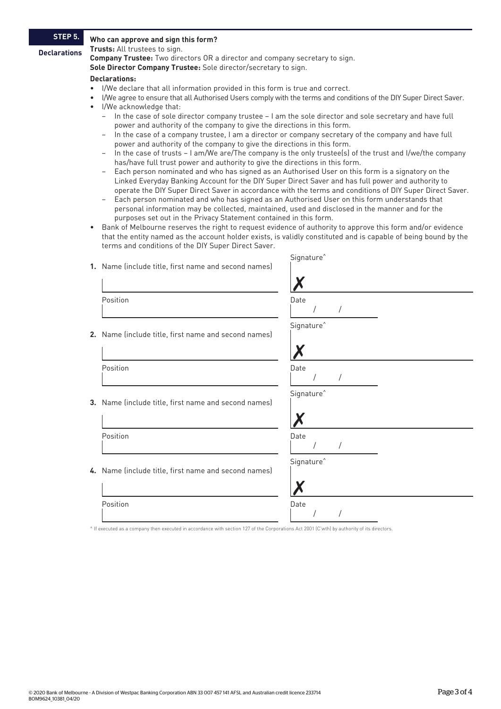# **STEP 5. Declarations**

#### **Who can approve and sign this form?**

**Trusts:** All trustees to sign.

**Company Trustee:** Two directors OR a director and company secretary to sign.

**Sole Director Company Trustee:** Sole director/secretary to sign.

#### **Declarations:**

- I/We declare that all information provided in this form is true and correct.
- I/We agree to ensure that all Authorised Users comply with the terms and conditions of the DIY Super Direct Saver. • I/We acknowledge that:
	- In the case of sole director company trustee I am the sole director and sole secretary and have full power and authority of the company to give the directions in this form.
	- In the case of a company trustee, I am a director or company secretary of the company and have full power and authority of the company to give the directions in this form.
	- In the case of trusts I am/We are/The company is the only trustee(s) of the trust and I/we/the company has/have full trust power and authority to give the directions in this form.
	- Each person nominated and who has signed as an Authorised User on this form is a signatory on the Linked Everyday Banking Account for the DIY Super Direct Saver and has full power and authority to operate the DIY Super Direct Saver in accordance with the terms and conditions of DIY Super Direct Saver.
	- Each person nominated and who has signed as an Authorised User on this form understands that personal information may be collected, maintained, used and disclosed in the manner and for the purposes set out in the Privacy Statement contained in this form.
- Bank of Melbourne reserves the right to request evidence of authority to approve this form and/or evidence that the entity named as the account holder exists, is validly constituted and is capable of being bound by the terms and conditions of the DIY Super Direct Saver.

| 1. Name (include title, first name and second names) | Signature <sup>^</sup> |
|------------------------------------------------------|------------------------|
| Position                                             | Date                   |
| 2. Name (include title, first name and second names) | Signature <sup>^</sup> |
| Position                                             | Date                   |
| 3. Name (include title, first name and second names) | Signature <sup>^</sup> |
| Position                                             | Date                   |
| 4. Name (include title, first name and second names) | Signature <sup>^</sup> |
| Position                                             | Date                   |

^ If executed as a company then executed in accordance with section 127 of the Corporations Act 2001 (C'wth) by authority of its directors.